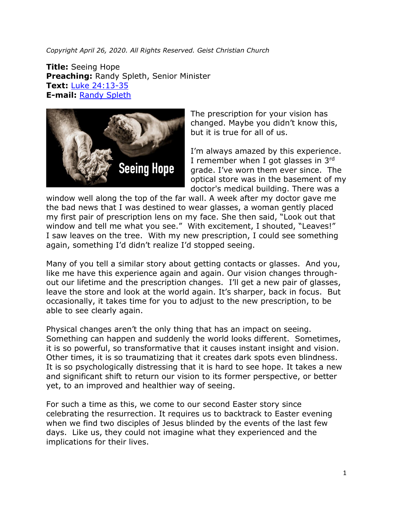*Copyright April 26, 2020. All Rights Reserved. Geist Christian Church*

**Title:** Seeing Hope **Preaching:** Randy Spleth, Senior Minister **Text:** [Luke 24:13-35](https://www.biblegateway.com/passage/?search=Luke+24%3A13-35&version=NRSV) **E-mail:** [Randy Spleth](mailto:randy.spleth@geistchristian.org)



The prescription for your vision has changed. Maybe you didn't know this, but it is true for all of us.

I'm always amazed by this experience. I remember when I got glasses in  $3<sup>rd</sup>$ grade. I've worn them ever since. The optical store was in the basement of my doctor's medical building. There was a

window well along the top of the far wall. A week after my doctor gave me the bad news that I was destined to wear glasses, a woman gently placed my first pair of prescription lens on my face. She then said, "Look out that window and tell me what you see." With excitement, I shouted, "Leaves!" I saw leaves on the tree. With my new prescription, I could see something again, something I'd didn't realize I'd stopped seeing.

Many of you tell a similar story about getting contacts or glasses. And you, like me have this experience again and again. Our vision changes throughout our lifetime and the prescription changes. I'll get a new pair of glasses, leave the store and look at the world again. It's sharper, back in focus. But occasionally, it takes time for you to adjust to the new prescription, to be able to see clearly again.

Physical changes aren't the only thing that has an impact on seeing. Something can happen and suddenly the world looks different. Sometimes, it is so powerful, so transformative that it causes instant insight and vision. Other times, it is so traumatizing that it creates dark spots even blindness. It is so psychologically distressing that it is hard to see hope. It takes a new and significant shift to return our vision to its former perspective, or better yet, to an improved and healthier way of seeing.

For such a time as this, we come to our second Easter story since celebrating the resurrection. It requires us to backtrack to Easter evening when we find two disciples of Jesus blinded by the events of the last few days. Like us, they could not imagine what they experienced and the implications for their lives.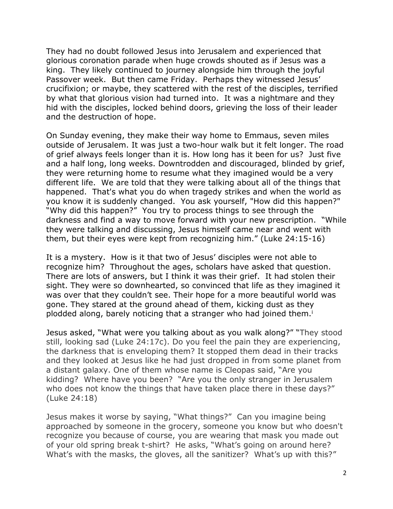They had no doubt followed Jesus into Jerusalem and experienced that glorious coronation parade when huge crowds shouted as if Jesus was a king. They likely continued to journey alongside him through the joyful Passover week. But then came Friday. Perhaps they witnessed Jesus' crucifixion; or maybe, they scattered with the rest of the disciples, terrified by what that glorious vision had turned into. It was a nightmare and they hid with the disciples, locked behind doors, grieving the loss of their leader and the destruction of hope.

On Sunday evening, they make their way home to Emmaus, seven miles outside of Jerusalem. It was just a two-hour walk but it felt longer. The road of grief always feels longer than it is. How long has it been for us? Just five and a half long, long weeks. Downtrodden and discouraged, blinded by grief, they were returning home to resume what they imagined would be a very different life. We are told that they were talking about all of the things that happened. That's what you do when tragedy strikes and when the world as you know it is suddenly changed. You ask yourself, "How did this happen?" "Why did this happen?" You try to process things to see through the darkness and find a way to move forward with your new prescription. "While they were talking and discussing, Jesus himself came near and went with them, but their eyes were kept from recognizing him." (Luke 24:15-16)

It is a mystery. How is it that two of Jesus' disciples were not able to recognize him? Throughout the ages, scholars have asked that question. There are lots of answers, but I think it was their grief. It had stolen their sight. They were so downhearted, so convinced that life as they imagined it was over that they couldn't see. Their hope for a more beautiful world was gone. They stared at the ground ahead of them, kicking dust as they plodded along, barely noticing that a stranger who had joined them.<sup>i</sup>

Jesus asked, "What were you talking about as you walk along?" "They stood still, looking sad (Luke 24:17c). Do you feel the pain they are experiencing, the darkness that is enveloping them? It stopped them dead in their tracks and they looked at Jesus like he had just dropped in from some planet from a distant galaxy. One of them whose name is Cleopas said, "Are you kidding? Where have you been? "Are you the only stranger in Jerusalem who does not know the things that have taken place there in these days?" (Luke 24:18)

Jesus makes it worse by saying, "What things?" Can you imagine being approached by someone in the grocery, someone you know but who doesn't recognize you because of course, you are wearing that mask you made out of your old spring break t-shirt? He asks, "What's going on around here? What's with the masks, the gloves, all the sanitizer? What's up with this?"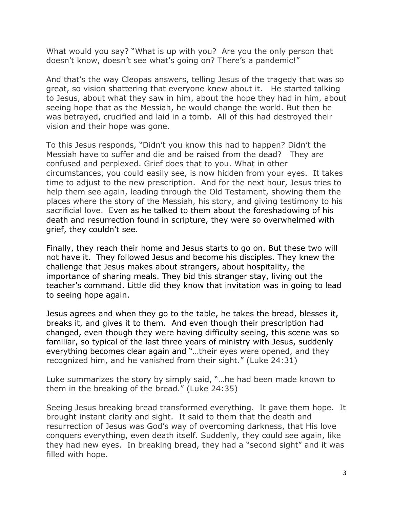What would you say? "What is up with you? Are you the only person that doesn't know, doesn't see what's going on? There's a pandemic!"

And that's the way Cleopas answers, telling Jesus of the tragedy that was so great, so vision shattering that everyone knew about it. He started talking to Jesus, about what they saw in him, about the hope they had in him, about seeing hope that as the Messiah, he would change the world. But then he was betrayed, crucified and laid in a tomb. All of this had destroyed their vision and their hope was gone.

To this Jesus responds, "Didn't you know this had to happen? Didn't the Messiah have to suffer and die and be raised from the dead? They are confused and perplexed. Grief does that to you. What in other circumstances, you could easily see, is now hidden from your eyes. It takes time to adjust to the new prescription. And for the next hour, Jesus tries to help them see again, leading through the Old Testament, showing them the places where the story of the Messiah, his story, and giving testimony to his sacrificial love. Even as he talked to them about the foreshadowing of his death and resurrection found in scripture, they were so overwhelmed with grief, they couldn't see.

Finally, they reach their home and Jesus starts to go on. But these two will not have it. They followed Jesus and become his disciples. They knew the challenge that Jesus makes about strangers, about hospitality, the importance of sharing meals. They bid this stranger stay, living out the teacher's command. Little did they know that invitation was in going to lead to seeing hope again.

Jesus agrees and when they go to the table, he takes the bread, blesses it, breaks it, and gives it to them. And even though their prescription had changed, even though they were having difficulty seeing, this scene was so familiar, so typical of the last three years of ministry with Jesus, suddenly everything becomes clear again and "…their eyes were opened, and they recognized him, and he vanished from their sight." (Luke 24:31)

Luke summarizes the story by simply said, "…he had been made known to them in the breaking of the bread." (Luke 24:35)

Seeing Jesus breaking bread transformed everything. It gave them hope. It brought instant clarity and sight. It said to them that the death and resurrection of Jesus was God's way of overcoming darkness, that His love conquers everything, even death itself. Suddenly, they could see again, like they had new eyes. In breaking bread, they had a "second sight" and it was filled with hope.